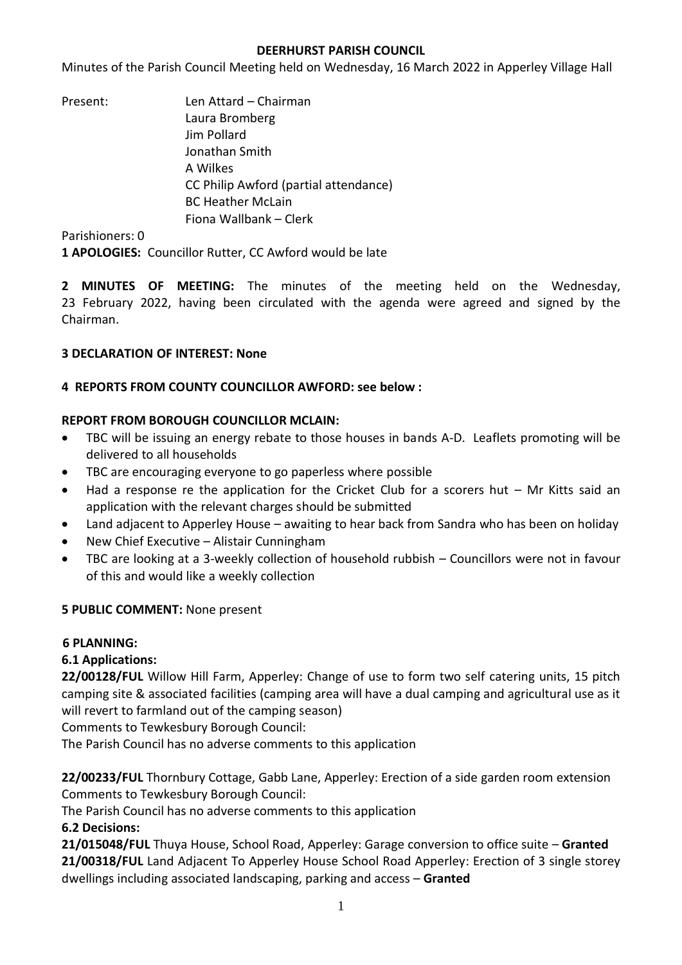### **DEERHURST PARISH COUNCIL**

Minutes of the Parish Council Meeting held on Wednesday, 16 March 2022 in Apperley Village Hall

Present: Len Attard – Chairman Laura Bromberg Jim Pollard Jonathan Smith A Wilkes CC Philip Awford (partial attendance) BC Heather McLain Fiona Wallbank – Clerk

Parishioners: 0

**1 APOLOGIES:** Councillor Rutter, CC Awford would be late

**2 MINUTES OF MEETING:** The minutes of the meeting held on the Wednesday, 23 February 2022, having been circulated with the agenda were agreed and signed by the Chairman.

## **3 DECLARATION OF INTEREST: None**

### **4 REPORTS FROM COUNTY COUNCILLOR AWFORD: see below :**

# **REPORT FROM BOROUGH COUNCILLOR MCLAIN:**

- TBC will be issuing an energy rebate to those houses in bands A-D. Leaflets promoting will be delivered to all households
- TBC are encouraging everyone to go paperless where possible
- Had a response re the application for the Cricket Club for a scorers hut Mr Kitts said an application with the relevant charges should be submitted
- Land adjacent to Apperley House awaiting to hear back from Sandra who has been on holiday
- New Chief Executive Alistair Cunningham
- TBC are looking at a 3-weekly collection of household rubbish Councillors were not in favour of this and would like a weekly collection

## **5 PUBLIC COMMENT:** None present

## **6 PLANNING:**

## **6.1 Applications:**

**22/00128/FUL** Willow Hill Farm, Apperley: Change of use to form two self catering units, 15 pitch camping site & associated facilities (camping area will have a dual camping and agricultural use as it will revert to farmland out of the camping season)

Comments to Tewkesbury Borough Council:

The Parish Council has no adverse comments to this application

**22/00233/FUL** Thornbury Cottage, Gabb Lane, Apperley: Erection of a side garden room extension Comments to Tewkesbury Borough Council:

The Parish Council has no adverse comments to this application

## **6.2 Decisions:**

**21/015048/FUL** Thuya House, School Road, Apperley: Garage conversion to office suite – **Granted 21/00318/FUL** Land Adjacent To Apperley House School Road Apperley: [Erection of 3 single storey](https://publicaccess.tewkesbury.gov.uk/online-applications/applicationDetails.do?activeTab=summary&keyVal=QPNAVZQD0IA00&prevPage=inTray)  [dwellings including associated landscaping, parking and access](https://publicaccess.tewkesbury.gov.uk/online-applications/applicationDetails.do?activeTab=summary&keyVal=QPNAVZQD0IA00&prevPage=inTray) – **Granted**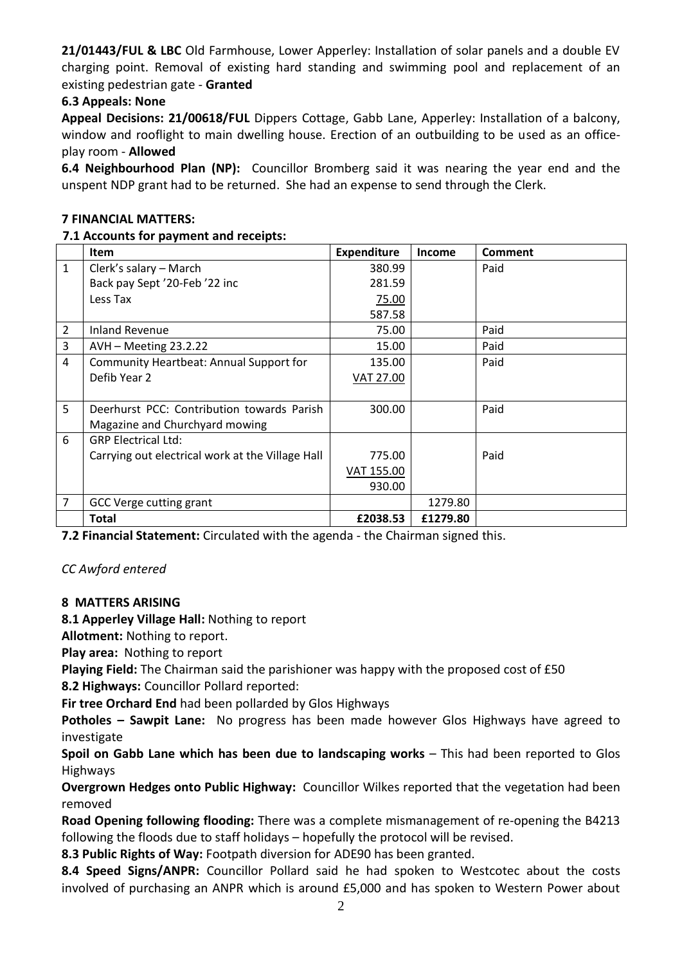**21/01443/FUL & LBC** Old Farmhouse, Lower Apperley: Installation of solar panels and a double EV charging point. Removal of existing hard standing and swimming pool and replacement of an existing pedestrian gate - **Granted**

## **6.3 Appeals: None**

**Appeal Decisions: 21/00618/FUL** Dippers Cottage, Gabb Lane, Apperley: Installation of a balcony, window and rooflight to main dwelling house. Erection of an outbuilding to be used as an officeplay room - **Allowed**

**6.4 Neighbourhood Plan (NP):** Councillor Bromberg said it was nearing the year end and the unspent NDP grant had to be returned. She had an expense to send through the Clerk.

#### **7 FINANCIAL MATTERS:**

### **7.1 Accounts for payment and receipts:**

|                | Item                                             | <b>Expenditure</b> | <b>Income</b> | <b>Comment</b> |
|----------------|--------------------------------------------------|--------------------|---------------|----------------|
| $\mathbf{1}$   | Clerk's salary - March                           | 380.99             |               | Paid           |
|                | Back pay Sept '20-Feb '22 inc                    | 281.59             |               |                |
|                | Less Tax                                         | 75.00              |               |                |
|                |                                                  | 587.58             |               |                |
| $\overline{2}$ | <b>Inland Revenue</b>                            | 75.00              |               | Paid           |
| 3              | AVH - Meeting 23.2.22                            | 15.00              |               | Paid           |
| 4              | Community Heartbeat: Annual Support for          | 135.00             |               | Paid           |
|                | Defib Year 2                                     | VAT 27.00          |               |                |
|                |                                                  |                    |               |                |
| 5              | Deerhurst PCC: Contribution towards Parish       | 300.00             |               | Paid           |
|                | Magazine and Churchyard mowing                   |                    |               |                |
| 6              | <b>GRP Electrical Ltd:</b>                       |                    |               |                |
|                | Carrying out electrical work at the Village Hall | 775.00             |               | Paid           |
|                |                                                  | VAT 155.00         |               |                |
|                |                                                  | 930.00             |               |                |
| 7              | GCC Verge cutting grant                          |                    | 1279.80       |                |
|                | Total                                            | £2038.53           | £1279.80      |                |

**7.2 Financial Statement:** Circulated with the agenda - the Chairman signed this.

*CC Awford entered*

## **8 MATTERS ARISING**

**8.1 Apperley Village Hall:** Nothing to report

**Allotment:** Nothing to report.

**Play area:** Nothing to report

**Playing Field:** The Chairman said the parishioner was happy with the proposed cost of £50

**8.2 Highways:** Councillor Pollard reported:

**Fir tree Orchard End** had been pollarded by Glos Highways

**Potholes – Sawpit Lane:** No progress has been made however Glos Highways have agreed to investigate

**Spoil on Gabb Lane which has been due to landscaping works** – This had been reported to Glos Highways

**Overgrown Hedges onto Public Highway:** Councillor Wilkes reported that the vegetation had been removed

**Road Opening following flooding:** There was a complete mismanagement of re-opening the B4213 following the floods due to staff holidays – hopefully the protocol will be revised.

**8.3 Public Rights of Way:** Footpath diversion for ADE90 has been granted.

**8.4 Speed Signs/ANPR:** Councillor Pollard said he had spoken to Westcotec about the costs involved of purchasing an ANPR which is around £5,000 and has spoken to Western Power about